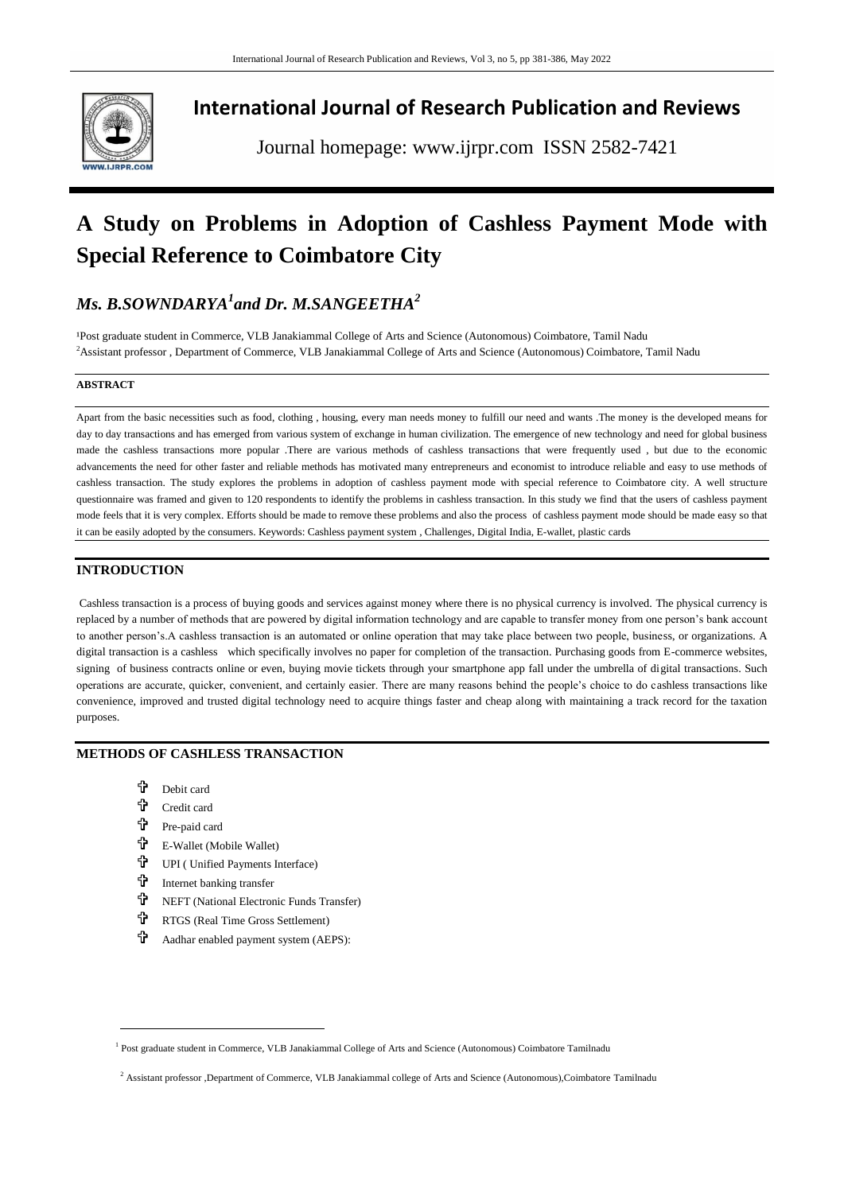

# **International Journal of Research Publication and Reviews**

Journal homepage: www.ijrpr.com ISSN 2582-7421

# **A Study on Problems in Adoption of Cashless Payment Mode with Special Reference to Coimbatore City**

# *Ms. B.SOWNDARYA<sup>1</sup> and Dr. M.SANGEETHA<sup>2</sup>*

<sup>1</sup>Post graduate student in Commerce, VLB Janakiammal College of Arts and Science (Autonomous) Coimbatore, Tamil Nadu <sup>2</sup>Assistant professor , Department of Commerce, VLB Janakiammal College of Arts and Science (Autonomous) Coimbatore, Tamil Nadu

#### **ABSTRACT**

Apart from the basic necessities such as food, clothing , housing, every man needs money to fulfill our need and wants .The money is the developed means for day to day transactions and has emerged from various system of exchange in human civilization. The emergence of new technology and need for global business made the cashless transactions more popular .There are various methods of cashless transactions that were frequently used , but due to the economic advancements the need for other faster and reliable methods has motivated many entrepreneurs and economist to introduce reliable and easy to use methods of cashless transaction. The study explores the problems in adoption of cashless payment mode with special reference to Coimbatore city. A well structure questionnaire was framed and given to 120 respondents to identify the problems in cashless transaction. In this study we find that the users of cashless payment mode feels that it is very complex. Efforts should be made to remove these problems and also the process of cashless payment mode should be made easy so that it can be easily adopted by the consumers. Keywords: Cashless payment system , Challenges, Digital India, E-wallet, plastic cards

# **INTRODUCTION**

Cashless transaction is a process of buying goods and services against money where there is no physical currency is involved. The physical currency is replaced by a number of methods that are powered by digital information technology and are capable to transfer money from one person's bank account to another person's.A cashless transaction is an automated or online operation that may take place between two people, business, or organizations. A digital transaction is a cashless which specifically involves no paper for completion of the transaction. Purchasing goods from E-commerce websites, signing of business contracts online or even, buying movie tickets through your smartphone app fall under the umbrella of digital transactions. Such operations are accurate, quicker, convenient, and certainly easier. There are many reasons behind the people's choice to do cashless transactions like convenience, improved and trusted digital technology need to acquire things faster and cheap along with maintaining a track record for the taxation purposes.

# **METHODS OF CASHLESS TRANSACTION**

- Debit card
- Credit card
- Pre-paid card

 $\overline{a}$ 

- E-Wallet (Mobile Wallet)
- **T** UPI ( Unified Payments Interface)
- the Internet banking transfer
- NEFT (National Electronic Funds Transfer)
- **RTGS** (Real Time Gross Settlement)
- Aadhar enabled payment system (AEPS):

<sup>&</sup>lt;sup>1</sup> Post graduate student in Commerce, VLB Janakiammal College of Arts and Science (Autonomous) Coimbatore Tamilnadu

<sup>&</sup>lt;sup>2</sup> Assistant professor ,Department of Commerce, VLB Janakiammal college of Arts and Science (Autonomous),Coimbatore Tamilnadu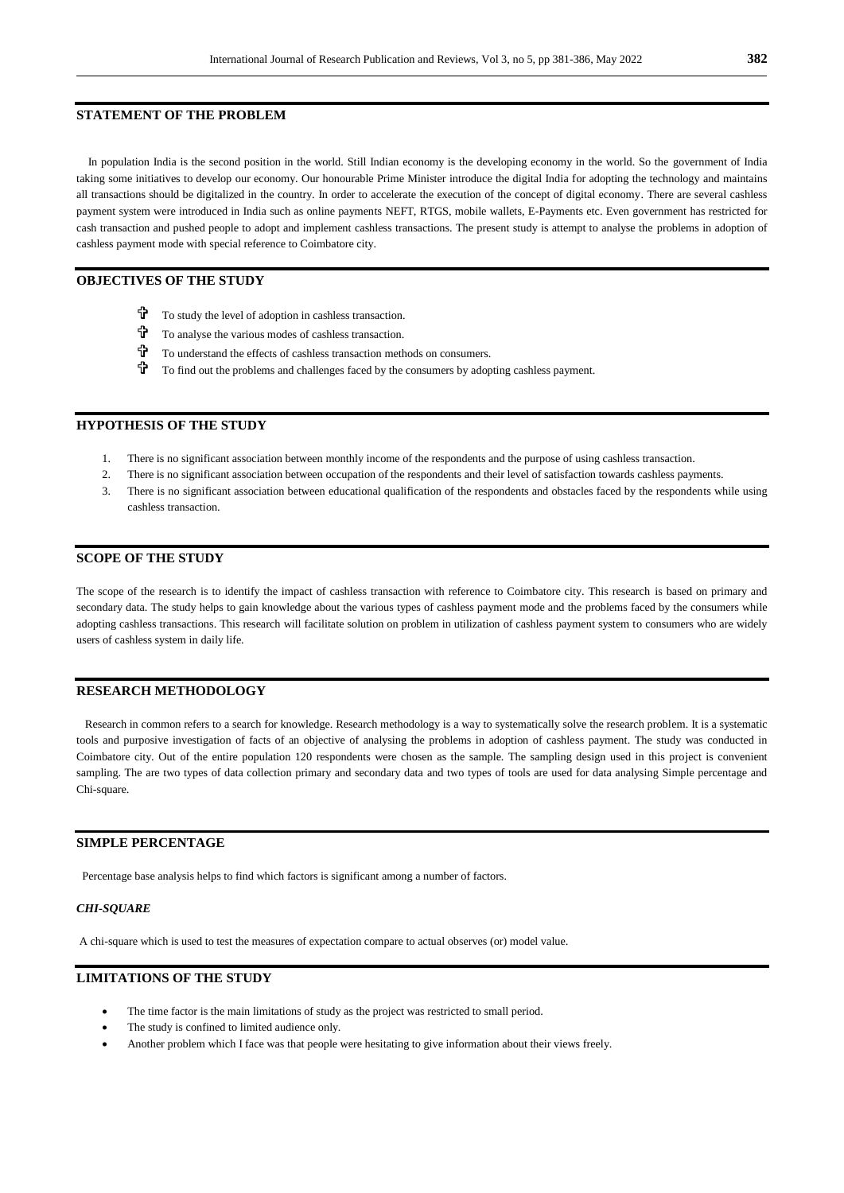#### **STATEMENT OF THE PROBLEM**

 In population India is the second position in the world. Still Indian economy is the developing economy in the world. So the government of India taking some initiatives to develop our economy. Our honourable Prime Minister introduce the digital India for adopting the technology and maintains all transactions should be digitalized in the country. In order to accelerate the execution of the concept of digital economy. There are several cashless payment system were introduced in India such as online payments NEFT, RTGS, mobile wallets, E-Payments etc. Even government has restricted for cash transaction and pushed people to adopt and implement cashless transactions. The present study is attempt to analyse the problems in adoption of cashless payment mode with special reference to Coimbatore city.

# **OBJECTIVES OF THE STUDY**

- To study the level of adoption in cashless transaction.
- To analyse the various modes of cashless transaction.
- To understand the effects of cashless transaction methods on consumers.
- $\mathbf{\hat{P}}$  To find out the problems and challenges faced by the consumers by adopting cashless payment.

# **HYPOTHESIS OF THE STUDY**

- 1. There is no significant association between monthly income of the respondents and the purpose of using cashless transaction.
- 2. There is no significant association between occupation of the respondents and their level of satisfaction towards cashless payments.
- 3. There is no significant association between educational qualification of the respondents and obstacles faced by the respondents while using cashless transaction.

# **SCOPE OF THE STUDY**

The scope of the research is to identify the impact of cashless transaction with reference to Coimbatore city. This research is based on primary and secondary data. The study helps to gain knowledge about the various types of cashless payment mode and the problems faced by the consumers while adopting cashless transactions. This research will facilitate solution on problem in utilization of cashless payment system to consumers who are widely users of cashless system in daily life.

# **RESEARCH METHODOLOGY**

 Research in common refers to a search for knowledge. Research methodology is a way to systematically solve the research problem. It is a systematic tools and purposive investigation of facts of an objective of analysing the problems in adoption of cashless payment. The study was conducted in Coimbatore city. Out of the entire population 120 respondents were chosen as the sample. The sampling design used in this project is convenient sampling. The are two types of data collection primary and secondary data and two types of tools are used for data analysing Simple percentage and Chi-square.

### **SIMPLE PERCENTAGE**

Percentage base analysis helps to find which factors is significant among a number of factors.

#### *CHI-SQUARE*

A chi-square which is used to test the measures of expectation compare to actual observes (or) model value.

# **LIMITATIONS OF THE STUDY**

- The time factor is the main limitations of study as the project was restricted to small period.
- The study is confined to limited audience only.
- Another problem which I face was that people were hesitating to give information about their views freely.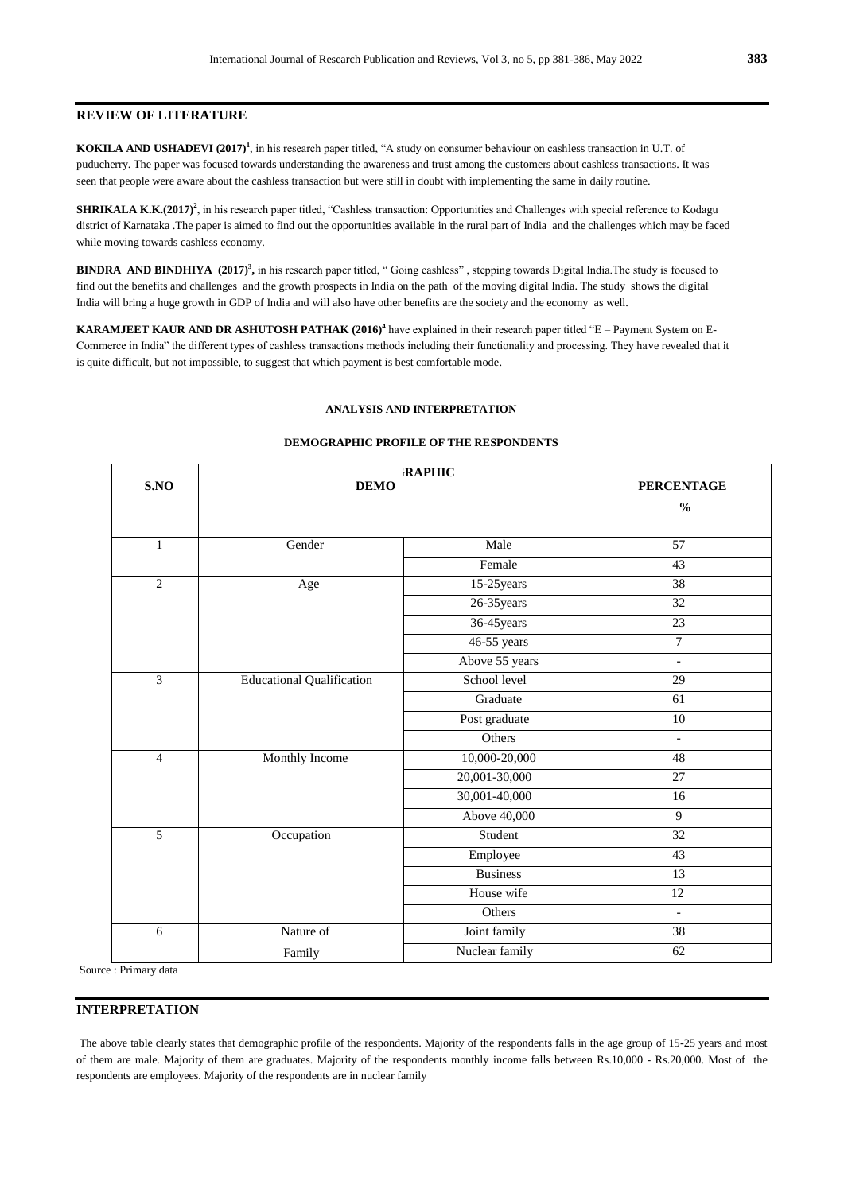#### **REVIEW OF LITERATURE**

**KOKILA AND USHADEVI (2017)<sup>1</sup>**, in his research paper titled, "A study on consumer behaviour on cashless transaction in U.T. of puducherry. The paper was focused towards understanding the awareness and trust among the customers about cashless transactions. It was seen that people were aware about the cashless transaction but were still in doubt with implementing the same in daily routine.

**SHRIKALA K.K.(2017**<sup>)</sup>, in his research paper titled, "Cashless transaction: Opportunities and Challenges with special reference to Kodagu district of Karnataka .The paper is aimed to find out the opportunities available in the rural part of India and the challenges which may be faced while moving towards cashless economy.

**BINDRA AND BINDHIYA (2017)<sup>3</sup>**, in his research paper titled, "Going cashless", stepping towards Digital India.The study is focused to find out the benefits and challenges and the growth prospects in India on the path of the moving digital India. The study shows the digital India will bring a huge growth in GDP of India and will also have other benefits are the society and the economy as well.

**KARAMJEET KAUR AND DR ASHUTOSH PATHAK (2016)<sup>4</sup>** have explained in their research paper titled "E – Payment System on E-Commerce in India" the different types of cashless transactions methods including their functionality and processing. They have revealed that it is quite difficult, but not impossible, to suggest that which payment is best comfortable mode.

#### **ANALYSIS AND INTERPRETATION**

# **S.NO DEMO RAPHIC PERCENTAGE %**  1 Gender Nale 57 Female 43 2 Age 15-25 years 38 26-35years 32 36-45years 23 46-55 years 7 Above 55 years and the same state of the same state of the same state of the same state of the same state of the same state of the same state of the same state of the same state of the same state of the same state of the s 3 Between School level 29 Graduate 61 Post graduate 10 Others and the set of the set of the set of the set of the set of the set of the set of the set of the set of the set of the set of the set of the set of the set of the set of the set of the set of the set of the set of th 4 Monthly Income 10,000-20,000 48 20,001-30,000 27 30,001-40,000 16 Above 40,000 9 5 Occupation Student 32 Employee 43 Business 13 House wife 12 Others **-**6 Nature of Family Joint family 38 Nuclear family 62

#### **DEMOGRAPHIC PROFILE OF THE RESPONDENTS**

Source : Primary data

#### **INTERPRETATION**

The above table clearly states that demographic profile of the respondents. Majority of the respondents falls in the age group of 15-25 years and most of them are male. Majority of them are graduates. Majority of the respondents monthly income falls between Rs.10,000 - Rs.20,000. Most of the respondents are employees. Majority of the respondents are in nuclear family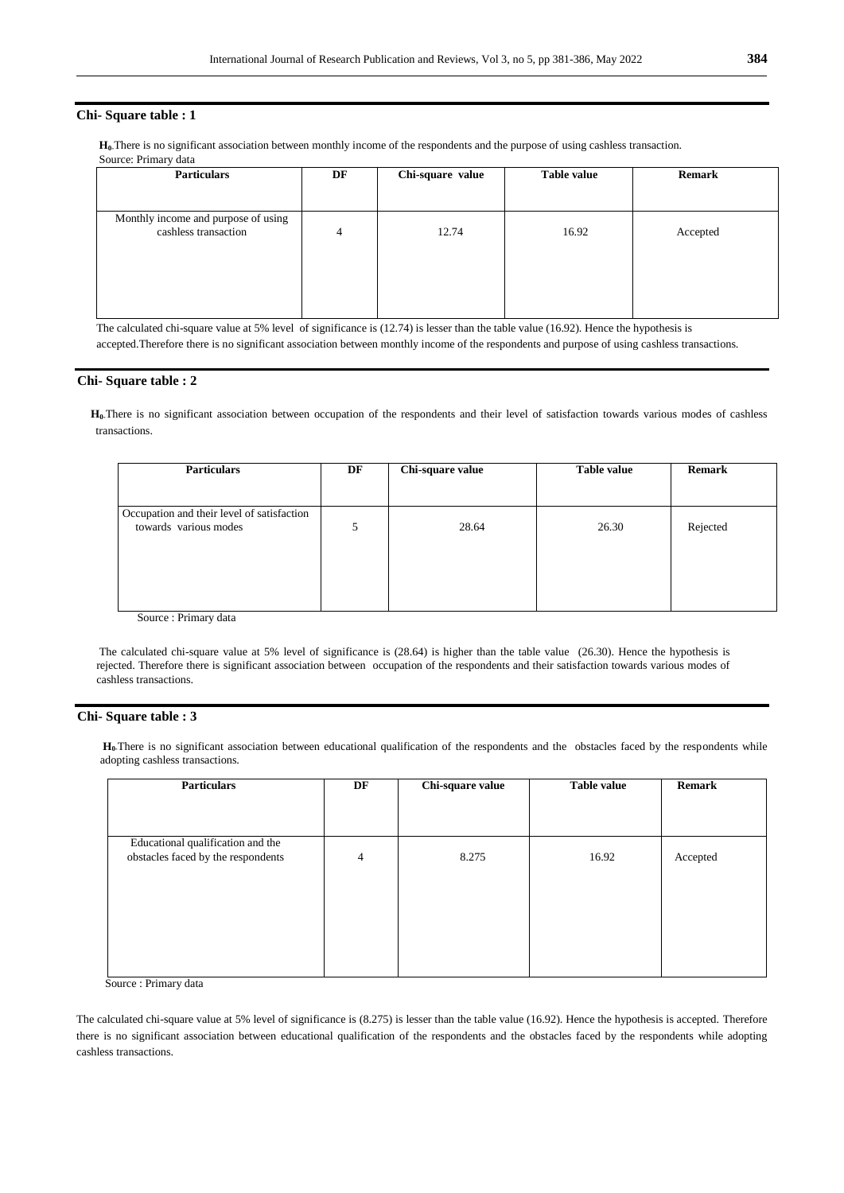#### **Chi- Square table : 1**

**H0-**There is no significant association between monthly income of the respondents and the purpose of using cashless transaction. Source: Primary data

| <b>Particulars</b>                                          | DF | Chi-square value | <b>Table value</b> | <b>Remark</b> |
|-------------------------------------------------------------|----|------------------|--------------------|---------------|
|                                                             |    |                  |                    |               |
| Monthly income and purpose of using<br>cashless transaction | 4  | 12.74            | 16.92              | Accepted      |
|                                                             |    |                  |                    |               |

The calculated chi-square value at 5% level of significance is (12.74) is lesser than the table value (16.92). Hence the hypothesis is accepted.Therefore there is no significant association between monthly income of the respondents and purpose of using cashless transactions.

#### **Chi- Square table : 2**

 **H0-**There is no significant association between occupation of the respondents and their level of satisfaction towards various modes of cashless transactions.

| <b>Particulars</b>                         | DF | Chi-square value | <b>Table value</b> | <b>Remark</b> |
|--------------------------------------------|----|------------------|--------------------|---------------|
|                                            |    |                  |                    |               |
| Occupation and their level of satisfaction |    |                  |                    |               |
| towards various modes                      |    | 28.64            | 26.30              | Rejected      |
|                                            |    |                  |                    |               |
|                                            |    |                  |                    |               |
|                                            |    |                  |                    |               |
| $\mathbf{r}$ .<br>$\sim$<br>$\mathbf{1}$   |    |                  |                    |               |

Source : Primary data

The calculated chi-square value at 5% level of significance is (28.64) is higher than the table value (26.30). Hence the hypothesis is rejected. Therefore there is significant association between occupation of the respondents and their satisfaction towards various modes of cashless transactions.

#### **Chi- Square table : 3**

**H0-**There is no significant association between educational qualification of the respondents and the obstacles faced by the respondents while adopting cashless transactions.

| <b>Particulars</b>                                                      | DF             | Chi-square value | <b>Table value</b> | <b>Remark</b> |
|-------------------------------------------------------------------------|----------------|------------------|--------------------|---------------|
| Educational qualification and the<br>obstacles faced by the respondents | $\overline{4}$ | 8.275            | 16.92              | Accepted      |
|                                                                         |                |                  |                    |               |
|                                                                         |                |                  |                    |               |

Source : Primary data

The calculated chi-square value at 5% level of significance is (8.275) is lesser than the table value (16.92). Hence the hypothesis is accepted. Therefore there is no significant association between educational qualification of the respondents and the obstacles faced by the respondents while adopting cashless transactions.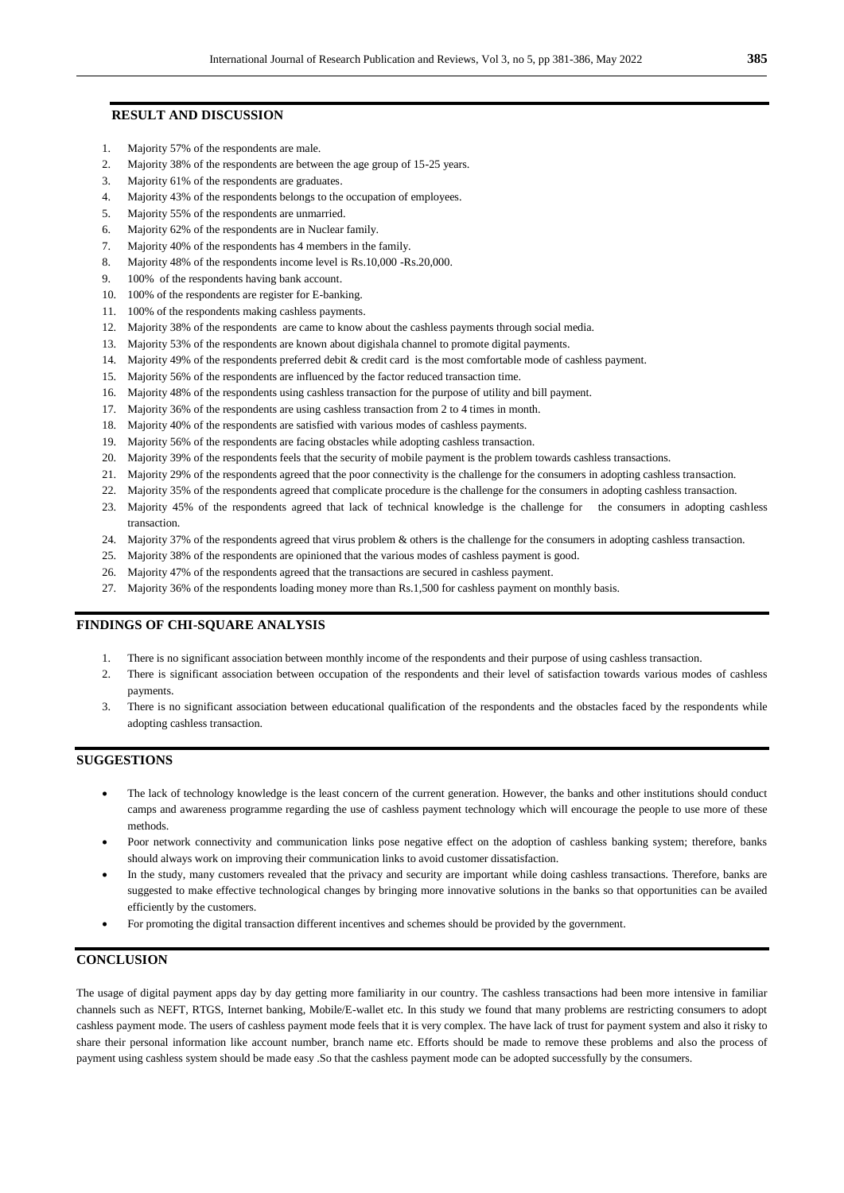#### **RESULT AND DISCUSSION**

- 1. Majority 57% of the respondents are male.
- 2. Majority 38% of the respondents are between the age group of 15-25 years.
- 3. Majority 61% of the respondents are graduates.
- 4. Majority 43% of the respondents belongs to the occupation of employees.
- 5. Majority 55% of the respondents are unmarried.
- 6. Majority 62% of the respondents are in Nuclear family.
- 7. Majority 40% of the respondents has 4 members in the family.
- 8. Majority 48% of the respondents income level is Rs.10,000 -Rs.20,000.
- 9. 100% of the respondents having bank account.
- 10. 100% of the respondents are register for E-banking.
- 11. 100% of the respondents making cashless payments.
- 12. Majority 38% of the respondents are came to know about the cashless payments through social media.
- 13. Majority 53% of the respondents are known about digishala channel to promote digital payments.
- 14. Majority 49% of the respondents preferred debit & credit card is the most comfortable mode of cashless payment.
- 15. Majority 56% of the respondents are influenced by the factor reduced transaction time.
- 16. Majority 48% of the respondents using cashless transaction for the purpose of utility and bill payment.
- 17. Majority 36% of the respondents are using cashless transaction from 2 to 4 times in month.
- 18. Majority 40% of the respondents are satisfied with various modes of cashless payments.
- 19. Majority 56% of the respondents are facing obstacles while adopting cashless transaction.
- 20. Majority 39% of the respondents feels that the security of mobile payment is the problem towards cashless transactions.
- 21. Majority 29% of the respondents agreed that the poor connectivity is the challenge for the consumers in adopting cashless transaction.
- 22. Majority 35% of the respondents agreed that complicate procedure is the challenge for the consumers in adopting cashless transaction.
- 23. Majority 45% of the respondents agreed that lack of technical knowledge is the challenge for the consumers in adopting cashless transaction.
- 24. Majority 37% of the respondents agreed that virus problem & others is the challenge for the consumers in adopting cashless transaction.
- 25. Majority 38% of the respondents are opinioned that the various modes of cashless payment is good.
- 26. Majority 47% of the respondents agreed that the transactions are secured in cashless payment.
- 27. Majority 36% of the respondents loading money more than Rs.1,500 for cashless payment on monthly basis.

#### **FINDINGS OF CHI-SQUARE ANALYSIS**

- 1. There is no significant association between monthly income of the respondents and their purpose of using cashless transaction.
- 2. There is significant association between occupation of the respondents and their level of satisfaction towards various modes of cashless payments.
- 3. There is no significant association between educational qualification of the respondents and the obstacles faced by the respondents while adopting cashless transaction.

## **SUGGESTIONS**

- The lack of technology knowledge is the least concern of the current generation. However, the banks and other institutions should conduct camps and awareness programme regarding the use of cashless payment technology which will encourage the people to use more of these methods.
- Poor network connectivity and communication links pose negative effect on the adoption of cashless banking system; therefore, banks should always work on improving their communication links to avoid customer dissatisfaction.
- In the study, many customers revealed that the privacy and security are important while doing cashless transactions. Therefore, banks are suggested to make effective technological changes by bringing more innovative solutions in the banks so that opportunities can be availed efficiently by the customers.
- For promoting the digital transaction different incentives and schemes should be provided by the government.

# **CONCLUSION**

The usage of digital payment apps day by day getting more familiarity in our country. The cashless transactions had been more intensive in familiar channels such as NEFT, RTGS, Internet banking, Mobile/E-wallet etc. In this study we found that many problems are restricting consumers to adopt cashless payment mode. The users of cashless payment mode feels that it is very complex. The have lack of trust for payment system and also it risky to share their personal information like account number, branch name etc. Efforts should be made to remove these problems and also the process of payment using cashless system should be made easy .So that the cashless payment mode can be adopted successfully by the consumers.